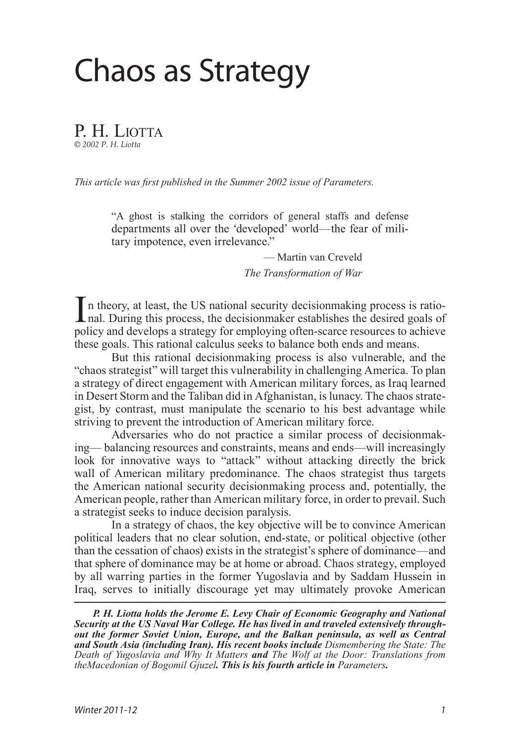# Chaos as Strategy

P. H. LIOTTA *© 2002 P. H. Liotta*

*This article was first published in the Summer 2002 issue of Parameters.*

"A ghost is stalking the corridors of general staffs and defense departments all over the 'developed' world—the fear of military impotence, even irrelevance."

> — Martin van Creveld *The Transformation of War*

In theory, at least, the US national security decisionmaking process is ratio-<br>nal. During this process, the decisionmaker establishes the desired goals of<br>notion and dovelops a strategy for employing often secree resource policy and develops a strategy for employing often-scarce resources to achieve these goals. This rational calculus seeks to balance both ends and means.

But this rational decisionmaking process is also vulnerable, and the "chaos strategist" will target this vulnerability in challenging America. To plan a strategy of direct engagement with American military forces, as Iraq learned in Desert Storm and the Taliban did in Afghanistan, is lunacy. The chaos strategist, by contrast, must manipulate the scenario to his best advantage while striving to prevent the introduction of American military force.

Adversaries who do not practice a similar process of decisionmaking— balancing resources and constraints, means and ends—will increasingly look for innovative ways to "attack" without attacking directly the brick wall of American military predominance. The chaos strategist thus targets the American national security decisionmaking process and, potentially, the American people, rather than American military force, in order to prevail. Such a strategist seeks to induce decision paralysis.

In a strategy of chaos, the key objective will be to convince American political leaders that no clear solution, end-state, or political objective (other than the cessation of chaos) exists in the strategist's sphere of dominance—and that sphere of dominance may be at home or abroad. Chaos strategy, employed by all warring parties in the former Yugoslavia and by Saddam Hussein in Iraq, serves to initially discourage yet may ultimately provoke American

*P. H. Liotta holds the Jerome E. Levy Chair of Economic Geography and National Security at the US Naval War College. He has lived in and traveled extensively through*out the former Soviet Union, Europe, and the Balkan peninsula, as well as Central *and South Asia (including Iran). His recent books include Dismembering the State: The Death of Yugoslavia and Why It Matters and The Wolf at the Door: Translations from theMacedonian of Bogomil Gjuzel. This is his fourth article in Parameters.*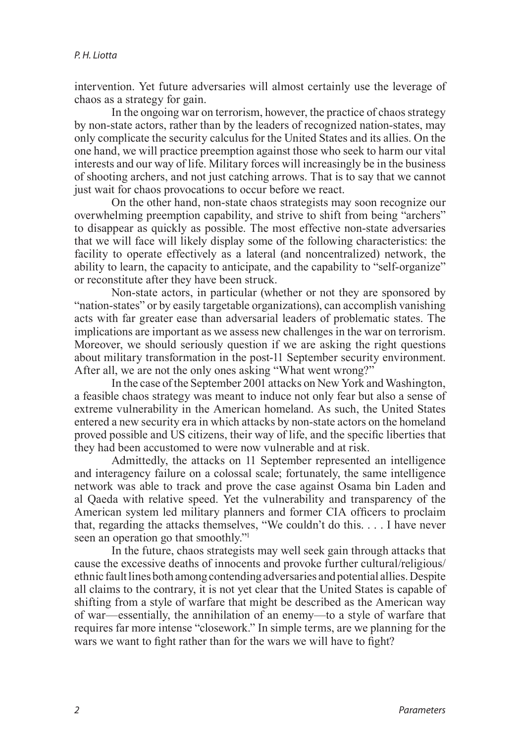intervention. Yet future adversaries will almost certainly use the leverage of chaos as a strategy for gain.

In the ongoing war on terrorism, however, the practice of chaos strategy by non-state actors, rather than by the leaders of recognized nation-states, may only complicate the security calculus for the United States and its allies. On the one hand, we will practice preemption against those who seek to harm our vital interests and our way of life. Military forces will increasingly be in the business of shooting archers, and not just catching arrows. That is to say that we cannot just wait for chaos provocations to occur before we react.

On the other hand, non-state chaos strategists may soon recognize our overwhelming preemption capability, and strive to shift from being "archers" to disappear as quickly as possible. The most effective non-state adversaries that we will face will likely display some of the following characteristics: the facility to operate effectively as a lateral (and noncentralized) network, the ability to learn, the capacity to anticipate, and the capability to "self-organize" or reconstitute after they have been struck.

Non-state actors, in particular (whether or not they are sponsored by "nation-states" or by easily targetable organizations), can accomplish vanishing acts with far greater ease than adversarial leaders of problematic states. The implications are important as we assess new challenges in the war on terrorism. Moreover, we should seriously question if we are asking the right questions about military transformation in the post-11 September security environment. After all, we are not the only ones asking "What went wrong?"

In the case of the September 2001 attacks on New York and Washington, a feasible chaos strategy was meant to induce not only fear but also a sense of extreme vulnerability in the American homeland. As such, the United States entered a new security era in which attacks by non-state actors on the homeland proved possible and US citizens, their way of life, and the specific liberties that they had been accustomed to were now vulnerable and at risk.

Admittedly, the attacks on 11 September represented an intelligence and interagency failure on a colossal scale; fortunately, the same intelligence network was able to track and prove the case against Osama bin Laden and al Qaeda with relative speed. Yet the vulnerability and transparency of the American system led military planners and former CIA officers to proclaim that, regarding the attacks themselves, "We couldn't do this. . . . I have never seen an operation go that smoothly.["1](#page-8-0)

<span id="page-1-0"></span>In the future, chaos strategists may well seek gain through attacks that cause the excessive deaths of innocents and provoke further cultural/religious/ ethnic fault lines both among contending adversaries and potential allies. Despite all claims to the contrary, it is not yet clear that the United States is capable of shifting from a style of warfare that might be described as the American way of war—essentially, the annihilation of an enemy—to a style of warfare that requires far more intense "closework." In simple terms, are we planning for the wars we want to fight rather than for the wars we will have to fight?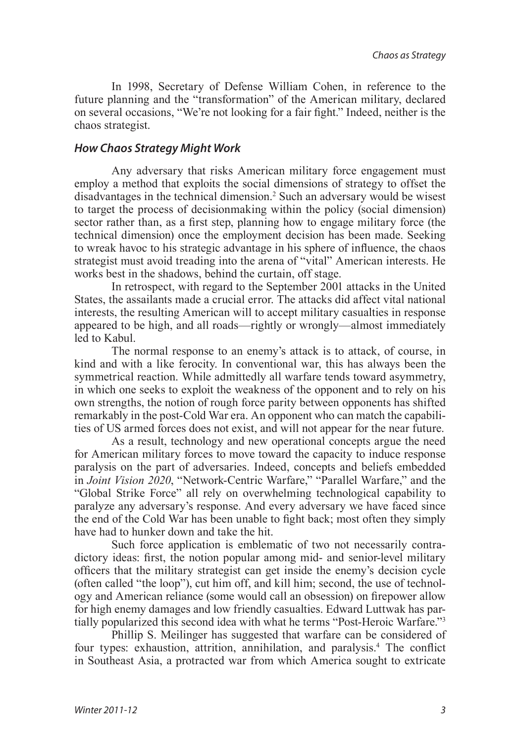In 1998, Secretary of Defense William Cohen, in reference to the future planning and the "transformation" of the American military, declared on several occasions, "We're not looking for a fair fight." Indeed, neither is the chaos strategist.

## *How Chaos Strategy Might Work*

<span id="page-2-0"></span>Any adversary that risks American military force engagement must employ a method that exploits the social dimensions of strategy to offset the disadvantages in the technical dimension[.2](#page-8-1) Such an adversary would be wisest to target the process of decisionmaking within the policy (social dimension) sector rather than, as a first step, planning how to engage military force (the technical dimension) once the employment decision has been made. Seeking to wreak havoc to his strategic advantage in his sphere of influence, the chaos strategist must avoid treading into the arena of "vital" American interests. He works best in the shadows, behind the curtain, off stage.

In retrospect, with regard to the September 2001 attacks in the United States, the assailants made a crucial error. The attacks did affect vital national interests, the resulting American will to accept military casualties in response appeared to be high, and all roads—rightly or wrongly—almost immediately led to Kabul.

The normal response to an enemy's attack is to attack, of course, in kind and with a like ferocity. In conventional war, this has always been the symmetrical reaction. While admittedly all warfare tends toward asymmetry, in which one seeks to exploit the weakness of the opponent and to rely on his own strengths, the notion of rough force parity between opponents has shifted remarkably in the post-Cold War era. An opponent who can match the capabilities of US armed forces does not exist, and will not appear for the near future.

As a result, technology and new operational concepts argue the need for American military forces to move toward the capacity to induce response paralysis on the part of adversaries. Indeed, concepts and beliefs embedded in *Joint Vision 2020*, "Network-Centric Warfare," "Parallel Warfare," and the "Global Strike Force" all rely on overwhelming technological capability to paralyze any adversary's response. And every adversary we have faced since the end of the Cold War has been unable to fight back; most often they simply have had to hunker down and take the hit.

Such force application is emblematic of two not necessarily contradictory ideas: first, the notion popular among mid- and senior-level military officers that the military strategist can get inside the enemy's decision cycle (often called "the loop"), cut him off, and kill him; second, the use of technology and American reliance (some would call an obsession) on firepower allow for high enemy damages and low friendly casualties. Edward Luttwak has partially popularized this second idea with what he terms "Post-Heroic Warfare."[3](#page-8-2)

<span id="page-2-2"></span><span id="page-2-1"></span>Phillip S. Meilinger has suggested that warfare can be considered of four types: exhaustion, attrition, annihilation, and paralysis.<sup>[4](#page-8-3)</sup> The conflict in Southeast Asia, a protracted war from which America sought to extricate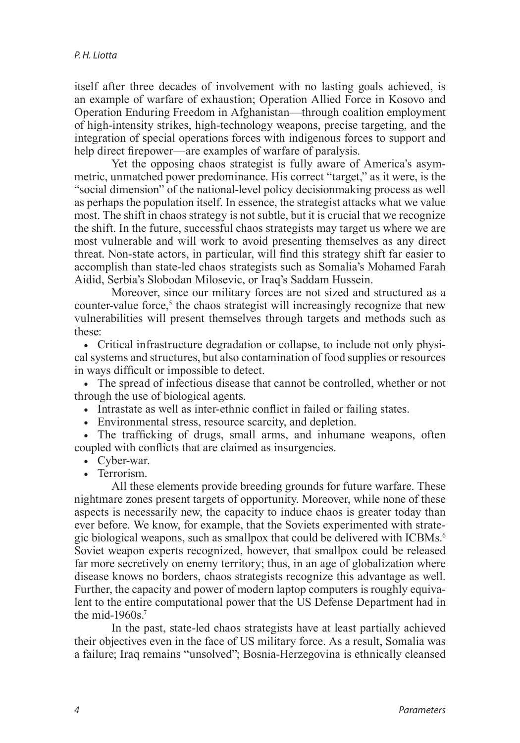itself after three decades of involvement with no lasting goals achieved, is an example of warfare of exhaustion; Operation Allied Force in Kosovo and Operation Enduring Freedom in Afghanistan—through coalition employment of high-intensity strikes, high-technology weapons, precise targeting, and the integration of special operations forces with indigenous forces to support and help direct firepower—are examples of warfare of paralysis.

Yet the opposing chaos strategist is fully aware of America's asymmetric, unmatched power predominance. His correct "target," as it were, is the "social dimension" of the national-level policy decisionmaking process as well as perhaps the population itself. In essence, the strategist attacks what we value most. The shift in chaos strategy is not subtle, but it is crucial that we recognize the shift. In the future, successful chaos strategists may target us where we are most vulnerable and will work to avoid presenting themselves as any direct threat. Non-state actors, in particular, will find this strategy shift far easier to accomplish than state-led chaos strategists such as Somalia's Mohamed Farah Aidid, Serbia's Slobodan Milosevic, or Iraq's Saddam Hussein.

<span id="page-3-0"></span>Moreover, since our military forces are not sized and structured as a counter-value force,<sup>[5](#page-8-4)</sup> the chaos strategist will increasingly recognize that new vulnerabilities will present themselves through targets and methods such as these:

**•** Critical infrastructure degradation or collapse, to include not only physical systems and structures, but also contamination of food supplies or resources in ways difficult or impossible to detect.

**•** The spread of infectious disease that cannot be controlled, whether or not through the use of biological agents.

**•** Intrastate as well as inter-ethnic conflict in failed or failing states.

**•** Environmental stress, resource scarcity, and depletion.

**•** The trafficking of drugs, small arms, and inhumane weapons, often coupled with conflicts that are claimed as insurgencies.

- **•** Cyber-war.
- **•** Terrorism.

<span id="page-3-1"></span>All these elements provide breeding grounds for future warfare. These nightmare zones present targets of opportunity. Moreover, while none of these aspects is necessarily new, the capacity to induce chaos is greater today than ever before. We know, for example, that the Soviets experimented with strate-gic biological weapons, such as smallpox that could be delivered with ICBMs.<sup>[6](#page-8-5)</sup> Soviet weapon experts recognized, however, that smallpox could be released far more secretively on enemy territory; thus, in an age of globalization where disease knows no borders, chaos strategists recognize this advantage as well. Further, the capacity and power of modern laptop computers is roughly equivalent to the entire computational power that the US Defense Department had in the mid-1960s.<sup>7</sup>

<span id="page-3-2"></span>In the past, state-led chaos strategists have at least partially achieved their objectives even in the face of US military force. As a result, Somalia was a failure; Iraq remains "unsolved"; Bosnia-Herzegovina is ethnically cleansed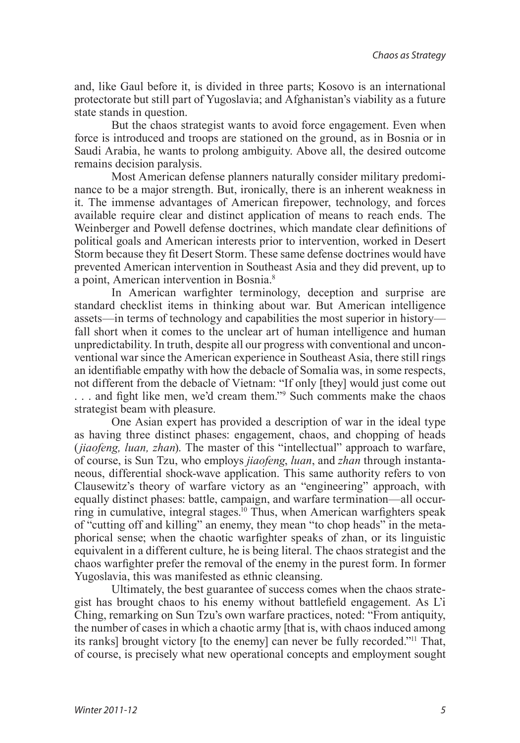and, like Gaul before it, is divided in three parts; Kosovo is an international protectorate but still part of Yugoslavia; and Afghanistan's viability as a future state stands in question.

But the chaos strategist wants to avoid force engagement. Even when force is introduced and troops are stationed on the ground, as in Bosnia or in Saudi Arabia, he wants to prolong ambiguity. Above all, the desired outcome remains decision paralysis.

Most American defense planners naturally consider military predominance to be a major strength. But, ironically, there is an inherent weakness in it. The immense advantages of American firepower, technology, and forces available require clear and distinct application of means to reach ends. The Weinberger and Powell defense doctrines, which mandate clear definitions of political goals and American interests prior to intervention, worked in Desert Storm because they fit Desert Storm. These same defense doctrines would have prevented American intervention in Southeast Asia and they did prevent, up to a point, American intervention in Bosnia.[8](#page-8-7)

<span id="page-4-0"></span>In American warfighter terminology, deception and surprise are standard checklist items in thinking about war. But American intelligence assets—in terms of technology and capabilities the most superior in history fall short when it comes to the unclear art of human intelligence and human unpredictability. In truth, despite all our progress with conventional and unconventional war since the American experience in Southeast Asia, there still rings an identifiable empathy with how the debacle of Somalia was, in some respects, not different from the debacle of Vietnam: "If only [they] would just come out ... and fight like men, we'd cream them."<sup>[9](#page-8-8)</sup> Such comments make the chaos strategist beam with pleasure.

One Asian expert has provided a description of war in the ideal type as having three distinct phases: engagement, chaos, and chopping of heads (*jiaofeng, luan, zhan*). The master of this "intellectual" approach to warfare, of course, is Sun Tzu, who employs *jiaofeng*, *luan*, and *zhan* through instantaneous, differential shock-wave application. This same authority refers to von Clausewitz's theory of warfare victory as an "engineering" approach, with equally distinct phases: battle, campaign, and warfare termination—all occurring in cumulative, integral stages[.10](#page-9-0) Thus, when American warfighters speak of "cutting off and killing" an enemy, they mean "to chop heads" in the metaphorical sense; when the chaotic warfighter speaks of zhan, or its linguistic equivalent in a different culture, he is being literal. The chaos strategist and the chaos warfighter prefer the removal of the enemy in the purest form. In former Yugoslavia, this was manifested as ethnic cleansing.

<span id="page-4-2"></span><span id="page-4-1"></span>Ultimately, the best guarantee of success comes when the chaos strategist has brought chaos to his enemy without battlefield engagement. As L'i Ching, remarking on Sun Tzu's own warfare practices, noted: "From antiquity, the number of cases in which a chaotic army [that is, with chaos induced among its ranks] brought victory [to the enemy] can never be fully recorded.["11](#page-9-1) That, of course, is precisely what new operational concepts and employment sought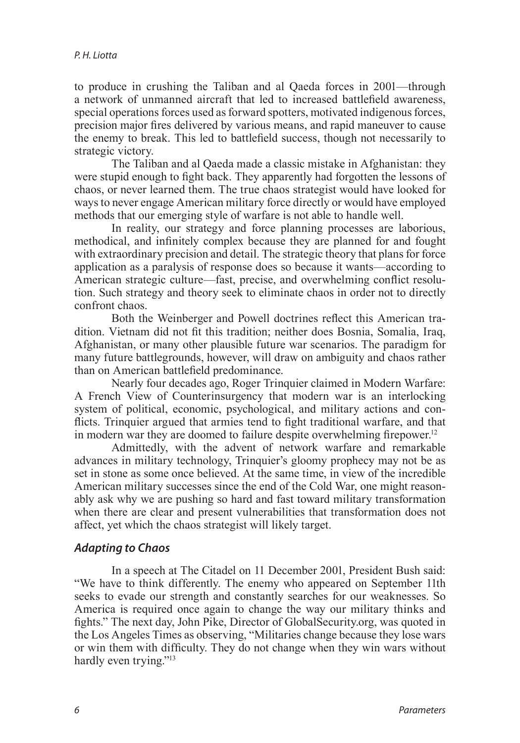to produce in crushing the Taliban and al Qaeda forces in 2001—through a network of unmanned aircraft that led to increased battlefield awareness, special operations forces used as forward spotters, motivated indigenous forces, precision major fires delivered by various means, and rapid maneuver to cause the enemy to break. This led to battlefield success, though not necessarily to strategic victory.

The Taliban and al Qaeda made a classic mistake in Afghanistan: they were stupid enough to fight back. They apparently had forgotten the lessons of chaos, or never learned them. The true chaos strategist would have looked for ways to never engage American military force directly or would have employed methods that our emerging style of warfare is not able to handle well.

In reality, our strategy and force planning processes are laborious, methodical, and infinitely complex because they are planned for and fought with extraordinary precision and detail. The strategic theory that plans for force application as a paralysis of response does so because it wants—according to American strategic culture—fast, precise, and overwhelming conflict resolution. Such strategy and theory seek to eliminate chaos in order not to directly confront chaos.

Both the Weinberger and Powell doctrines reflect this American tradition. Vietnam did not fit this tradition; neither does Bosnia, Somalia, Iraq, Afghanistan, or many other plausible future war scenarios. The paradigm for many future battlegrounds, however, will draw on ambiguity and chaos rather than on American battlefield predominance.

Nearly four decades ago, Roger Trinquier claimed in Modern Warfare: A French View of Counterinsurgency that modern war is an interlocking system of political, economic, psychological, and military actions and conflicts. Trinquier argued that armies tend to fight traditional warfare, and that in modern war they are doomed to failure despite overwhelming firepower.[12](#page-9-2)

<span id="page-5-0"></span>Admittedly, with the advent of network warfare and remarkable advances in military technology, Trinquier's gloomy prophecy may not be as set in stone as some once believed. At the same time, in view of the incredible American military successes since the end of the Cold War, one might reasonably ask why we are pushing so hard and fast toward military transformation when there are clear and present vulnerabilities that transformation does not affect, yet which the chaos strategist will likely target.

## *Adapting to Chaos*

<span id="page-5-1"></span>In a speech at The Citadel on 11 December 2001, President Bush said: "We have to think differently. The enemy who appeared on September 11th seeks to evade our strength and constantly searches for our weaknesses. So America is required once again to change the way our military thinks and fights." The next day, John Pike, Director of GlobalSecurity.org, was quoted in the Los Angeles Times as observing, "Militaries change because they lose wars or win them with difficulty. They do not change when they win wars without hardly even trying."<sup>13</sup>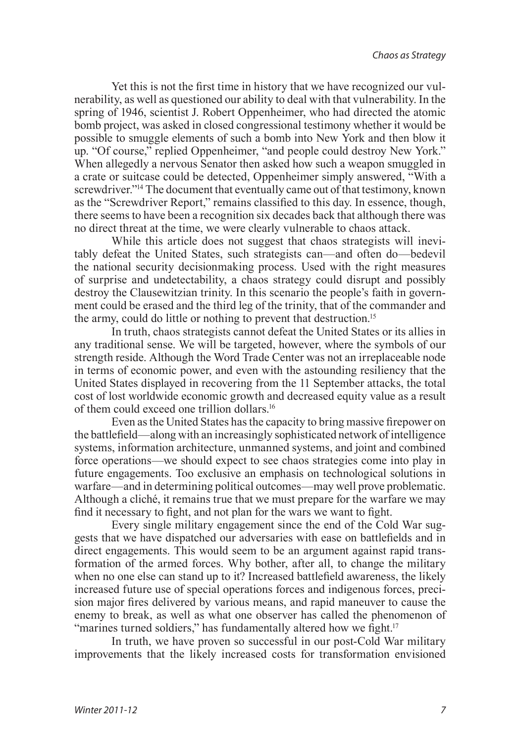Yet this is not the first time in history that we have recognized our vulnerability, as well as questioned our ability to deal with that vulnerability. In the spring of 1946, scientist J. Robert Oppenheimer, who had directed the atomic bomb project, was asked in closed congressional testimony whether it would be possible to smuggle elements of such a bomb into New York and then blow it up. "Of course," replied Oppenheimer, "and people could destroy New York." When allegedly a nervous Senator then asked how such a weapon smuggled in a crate or suitcase could be detected, Oppenheimer simply answered, "With a screwdriver."<sup>14</sup> The document that eventually came out of that testimony, known as the "Screwdriver Report," remains classified to this day. In essence, though, there seems to have been a recognition six decades back that although there was no direct threat at the time, we were clearly vulnerable to chaos attack.

<span id="page-6-0"></span>While this article does not suggest that chaos strategists will inevitably defeat the United States, such strategists can—and often do—bedevil the national security decisionmaking process. Used with the right measures of surprise and undetectability, a chaos strategy could disrupt and possibly destroy the Clausewitzian trinity. In this scenario the people's faith in government could be erased and the third leg of the trinity, that of the commander and the army, could do little or nothing to prevent that destruction[.15](#page-9-5)

<span id="page-6-1"></span>In truth, chaos strategists cannot defeat the United States or its allies in any traditional sense. We will be targeted, however, where the symbols of our strength reside. Although the Word Trade Center was not an irreplaceable node in terms of economic power, and even with the astounding resiliency that the United States displayed in recovering from the 11 September attacks, the total cost of lost worldwide economic growth and decreased equity value as a result of them could exceed one trillion dollars[.16](#page-9-6)

<span id="page-6-2"></span>Even as the United States has the capacity to bring massive firepower on the battlefield—along with an increasingly sophisticated network of intelligence systems, information architecture, unmanned systems, and joint and combined force operations—we should expect to see chaos strategies come into play in future engagements. Too exclusive an emphasis on technological solutions in warfare—and in determining political outcomes—may well prove problematic. Although a cliché, it remains true that we must prepare for the warfare we may find it necessary to fight, and not plan for the wars we want to fight.

Every single military engagement since the end of the Cold War suggests that we have dispatched our adversaries with ease on battlefields and in direct engagements. This would seem to be an argument against rapid transformation of the armed forces. Why bother, after all, to change the military when no one else can stand up to it? Increased battlefield awareness, the likely increased future use of special operations forces and indigenous forces, precision major fires delivered by various means, and rapid maneuver to cause the enemy to break, as well as what one observer has called the phenomenon of "marines turned soldiers," has fundamentally altered how we fight.<sup>[17](#page-9-7)</sup>

<span id="page-6-3"></span>In truth, we have proven so successful in our post-Cold War military improvements that the likely increased costs for transformation envisioned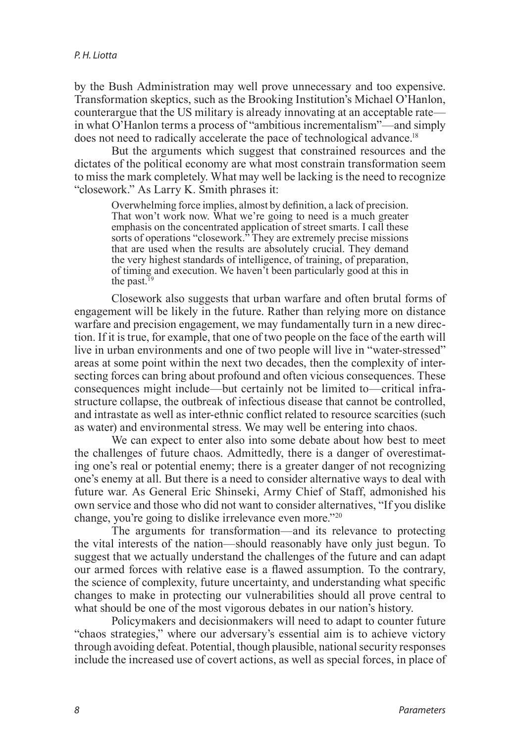by the Bush Administration may well prove unnecessary and too expensive. Transformation skeptics, such as the Brooking Institution's Michael O'Hanlon, counterargue that the US military is already innovating at an acceptable rate in what O'Hanlon terms a process of "ambitious incrementalism"—and simply does not need to radically accelerate the pace of technological advance.<sup>18</sup>

<span id="page-7-0"></span>But the arguments which suggest that constrained resources and the dictates of the political economy are what most constrain transformation seem to miss the mark completely. What may well be lacking is the need to recognize "closework." As Larry K. Smith phrases it:

Overwhelming force implies, almost by definition, a lack of precision. That won't work now. What we're going to need is a much greater emphasis on the concentrated application of street smarts. I call these sorts of operations "closework." They are extremely precise missions that are used when the results are absolutely crucial. They demand the very highest standards of intelligence, of training, of preparation, of timing and execution. We haven't been particularly good at this in the past.<sup>[19](#page-9-9)</sup>

<span id="page-7-1"></span>Closework also suggests that urban warfare and often brutal forms of engagement will be likely in the future. Rather than relying more on distance warfare and precision engagement, we may fundamentally turn in a new direction. If it is true, for example, that one of two people on the face of the earth will live in urban environments and one of two people will live in "water-stressed" areas at some point within the next two decades, then the complexity of intersecting forces can bring about profound and often vicious consequences. These consequences might include—but certainly not be limited to—critical infrastructure collapse, the outbreak of infectious disease that cannot be controlled, and intrastate as well as inter-ethnic conflict related to resource scarcities (such as water) and environmental stress. We may well be entering into chaos.

We can expect to enter also into some debate about how best to meet the challenges of future chaos. Admittedly, there is a danger of overestimating one's real or potential enemy; there is a greater danger of not recognizing one's enemy at all. But there is a need to consider alternative ways to deal with future war. As General Eric Shinseki, Army Chief of Staff, admonished his own service and those who did not want to consider alternatives, "If you dislike change, you're going to dislike irrelevance even more."[20](#page-9-10)

<span id="page-7-2"></span>The arguments for transformation—and its relevance to protecting the vital interests of the nation—should reasonably have only just begun. To suggest that we actually understand the challenges of the future and can adapt our armed forces with relative ease is a flawed assumption. To the contrary, the science of complexity, future uncertainty, and understanding what specific changes to make in protecting our vulnerabilities should all prove central to what should be one of the most vigorous debates in our nation's history.

Policymakers and decisionmakers will need to adapt to counter future "chaos strategies," where our adversary's essential aim is to achieve victory through avoiding defeat. Potential, though plausible, national security responses include the increased use of covert actions, as well as special forces, in place of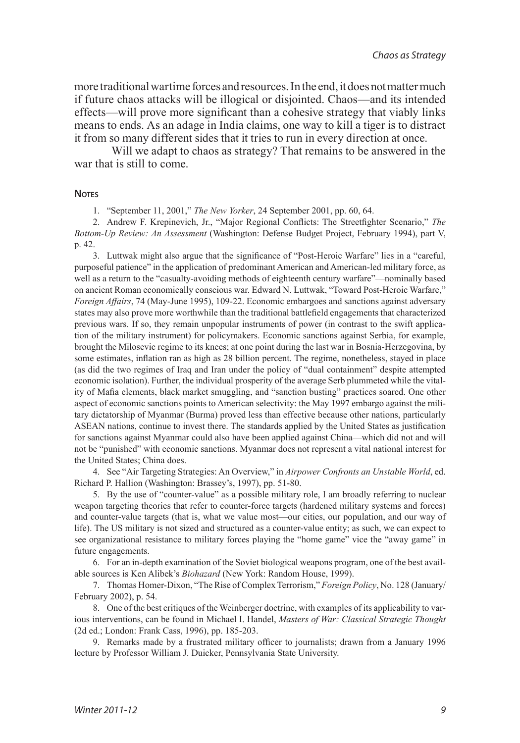more traditional wartime forces and resources. In the end, it does not matter much if future chaos attacks will be illogical or disjointed. Chaos—and its intended effects—will prove more significant than a cohesive strategy that viably links means to ends. As an adage in India claims, one way to kill a tiger is to distract it from so many different sides that it tries to run in every direction at once.

Will we adapt to chaos as strategy? That remains to be answered in the war that is still to come.

### **Notes**

<span id="page-8-2"></span><span id="page-8-1"></span><span id="page-8-0"></span>1. "September 11, 2001," *The New Yorker*[, 24 September 2001, pp. 60, 64.](#page-1-0) 

2. [Andrew F. Krepinevich, Jr., "Major Regional Conflicts: The Streetfighter Scenario,"](#page-2-0) *The Bottom-Up Review: An Assessment* [\(Washington: Defense Budget Project, February 1994\), part V,](#page-2-0) [p. 42.](#page-2-0) 

3. [Luttwak might also argue that the significance of "Post-Heroic Warfare" lies in a "careful,](#page-2-1) [purposeful patience" in the application of predominant American and American-led military force, as](#page-2-1) [well as a return to the "casualty-avoiding methods of eighteenth century warfare"—nominally based](#page-2-1)  [on ancient Roman economically conscious war. Edward N. Luttwak, "Toward Post-Heroic Warfare,"](#page-2-1) *Foreign Affairs*[, 74 \(May-June 1995\), 109-22. Economic embargoes and sanctions against adversary](#page-2-1)  [states may also prove more worthwhile than the traditional battlefield engagements that characterized](#page-2-1) [previous wars. If so, they remain unpopular instruments of power \(in contrast to the swift applica](#page-2-1)[tion of the military instrument\) for policymakers. Economic sanctions against Serbia, for example,](#page-2-1)  [brought the Milosevic regime to its knees; at one point during the last war in Bosnia-Herzegovina, by](#page-2-1) [some estimates, inflation ran as high as 28 billion percent. The regime, nonetheless, stayed in place](#page-2-1) [\(as did the two regimes of Iraq and Iran under the policy of "dual containment" despite attempted](#page-2-1)  [economic isolation\). Further, the individual prosperity of the average Serb plummeted while the vital](#page-2-1)[ity of Mafia elements, black market smuggling, and "sanction busting" practices soared. One other](#page-2-1)  [aspect of economic sanctions points to American selectivity: the May 1997 embargo against the mili](#page-2-1)[tary dictatorship of Myanmar \(Burma\) proved less than effective because other nations, particularly](#page-2-1) [ASEAN nations, continue to invest there. The standards applied by the United States as justification](#page-2-1)  [for sanctions against Myanmar could also have been applied against China—which did not and will](#page-2-1)  [not be "punished" with economic sanctions. Myanmar does not represent a vital national interest for](#page-2-1) [the United States; China does.](#page-2-1) 

<span id="page-8-3"></span>4. [See "Air Targeting Strategies: An Overview," in](#page-2-2) *Airpower Confronts an Unstable World*, ed. [Richard P. Hallion \(Washington: Brassey's, 1997\), pp. 51-80.](#page-2-2) 

<span id="page-8-4"></span>5. [By the use of "counter-value" as a possible military role, I am broadly referring to nuclear](#page-3-0) [weapon targeting theories that refer to counter-force targets \(hardened military systems and forces\)](#page-3-0)  [and counter-value targets \(that is, what we value most—our cities, our population, and our way of](#page-3-0) [life\). The US military is not sized and structured as a counter-value entity; as such, we can expect to](#page-3-0) [see organizational resistance to military forces playing the "home game" vice the "away game" in](#page-3-0) [future engagements.](#page-3-0) 

<span id="page-8-5"></span>6. [For an in-depth examination of the Soviet biological weapons program, one of the best avail](#page-3-1)able sources is Ken Alibek's *Biohazard* [\(New York: Random House, 1999\).](#page-3-1) 

<span id="page-8-6"></span>7. [Thomas Homer-Dixon, "The Rise of Complex Terrorism,"](#page-3-2) *Foreign Policy*, No. 128 (January/ [February 2002\), p. 54.](#page-3-2) 

<span id="page-8-7"></span>8. [One of the best critiques of the Weinberger doctrine, with examples of its applicability to var](#page-4-0)[ious interventions, can be found in Michael I. Handel,](#page-4-0) *Masters of War: Classical Strategic Thought*  [\(2d ed.; London: Frank Cass, 1996\), pp. 185-203.](#page-4-0) 

<span id="page-8-8"></span>9. [Remarks made by a frustrated military officer to journalists; drawn from a January 1996](#page-4-0) [lecture by Professor William J. Duicker, Pennsylvania State University.](#page-4-0)